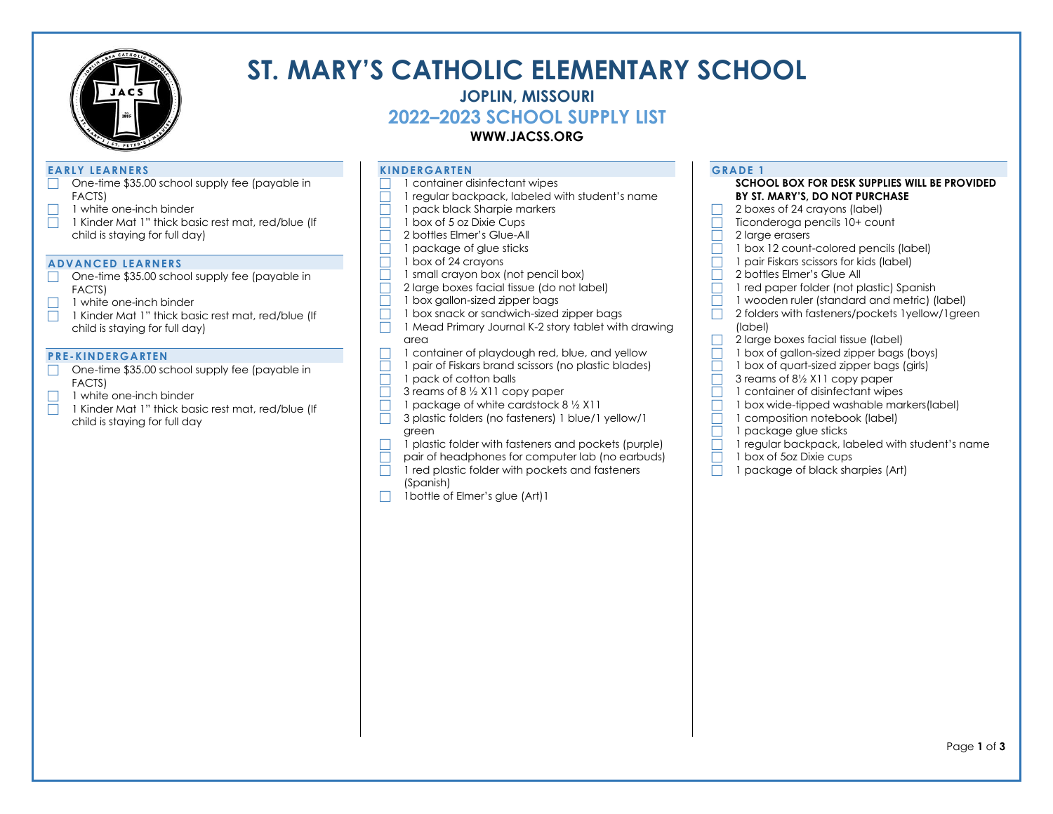

# **ST. MARY'S CATHOLIC ELEMENTARY SCHOOL**

## **JOPLIN, MISSOURI**

**2022–2023 SCHOOL SUPPLY LIST**

### **WWW.JACSS.ORG**

### **EARLY LEARNERS**

- One-time \$35.00 school supply fee (payable in FACTS)
- $\Box$  1 white one-inch binder<br> $\Box$  1 Kinder Mat 1" thick ba:
- 1 Kinder Mat 1" thick basic rest mat, red/blue (If child is staying for full day)

### **ADVANCED LEARNERS**

- One-time \$35.00 school supply fee (payable in FACTS)
- $\Box$  1 white one-inch binder
- 1 Kinder Mat 1" thick basic rest mat, red/blue (If child is staying for full day)

### **PRE-KINDERGARTEN**

- One-time \$35.00 school supply fee (payable in FACTS)
- 1 white one-inch binder
- 1 Kinder Mat 1" thick basic rest mat, red/blue (If child is staying for full day

### **KINDERGARTEN**

- $\Box$  1 container disinfectant wipes
- $\Box$  1 regular backpack, labeled with student's name
- 1 pack black Sharpie markers<br>
1 box of 5 oz Dixie Cups
	- 1 box of 5 oz Dixie Cups
- □ 2 bottles Elmer's Glue-All
- $\Box$  1 package of glue sticks
- $\Box$  1 box of 24 crayons
- $\Box$  1 small crayon box (not pencil box)<br>2 large boxes facial tissue (do not lo
	- 2 large boxes facial tissue (do not label)
- $\Box$  1 box gallon-sized zipper bags
- $\overline{\Box}$  1 box snack or sandwich-sized zipper bags
- $\Box$  1 Mead Primary Journal K-2 story tablet with drawing area
- 1 container of playdough red, blue, and yellow
- 1 pair of Fiskars brand scissors (no plastic blades)<br>
1 pack of cotton balls 1 pack of cotton balls
- $\Box$  3 reams of 8  $\frac{1}{2}$  X11 copy paper
- 1 package of white cardstock  $8\frac{1}{2}$  X11<br>
3 plastic folders (no fasteners) 1 blue/1
- 3 plastic folders (no fasteners) 1 blue/1 yellow/1 green
- $\Box$  1 plastic folder with fasteners and pockets (purple)
- $\overline{\Box}$  pair of headphones for computer lab (no earbuds)
- $\Box$  1 red plastic folder with pockets and fasteners (Spanish)
- $\Box$  1 bottle of Elmer's glue (Art) 1

### **GRADE 1**

### **SCHOOL BOX FOR DESK SUPPLIES WILL BE PROVIDED BY ST. MARY'S, DO NOT PURCHASE**

- 2 boxes of 24 crayons (label)
- $\Box$  Ticonderoga pencils 10+ count
- $\Box$  2 large erasers
- $\Box$  1 box 12 count-colored pencils (label)
- $\Box$  1 pair Fiskars scissors for kids (label)
- $\overline{\Box}$  2 bottles Elmer's Glue All
- $\Box$  1 red paper folder (not plastic) Spanish
- $\Box$  1 wooden ruler (standard and metric) (label)
- $\Box$  2 folders with fasteners/pockets 1 yellow/1 green (label)
- $\Box$  2 large boxes facial tissue (label)
	- 1 box of gallon-sized zipper bags (boys)
	- 1 box of quart-sized zipper bags (girls)
- $\Box$  3 reams of 8½ X11 copy paper
	- 1 container of disinfectant wipes
- 1 box wide-tipped washable markers(label)
	- 1 composition notebook (label)
- $\Box$  1 package glue sticks
- $\Box$  1 regular backpack, labeled with student's name
- $\overline{\Box}$  1 box of 5oz Dixie cups
- $\Box$  1 package of black sharpies (Art)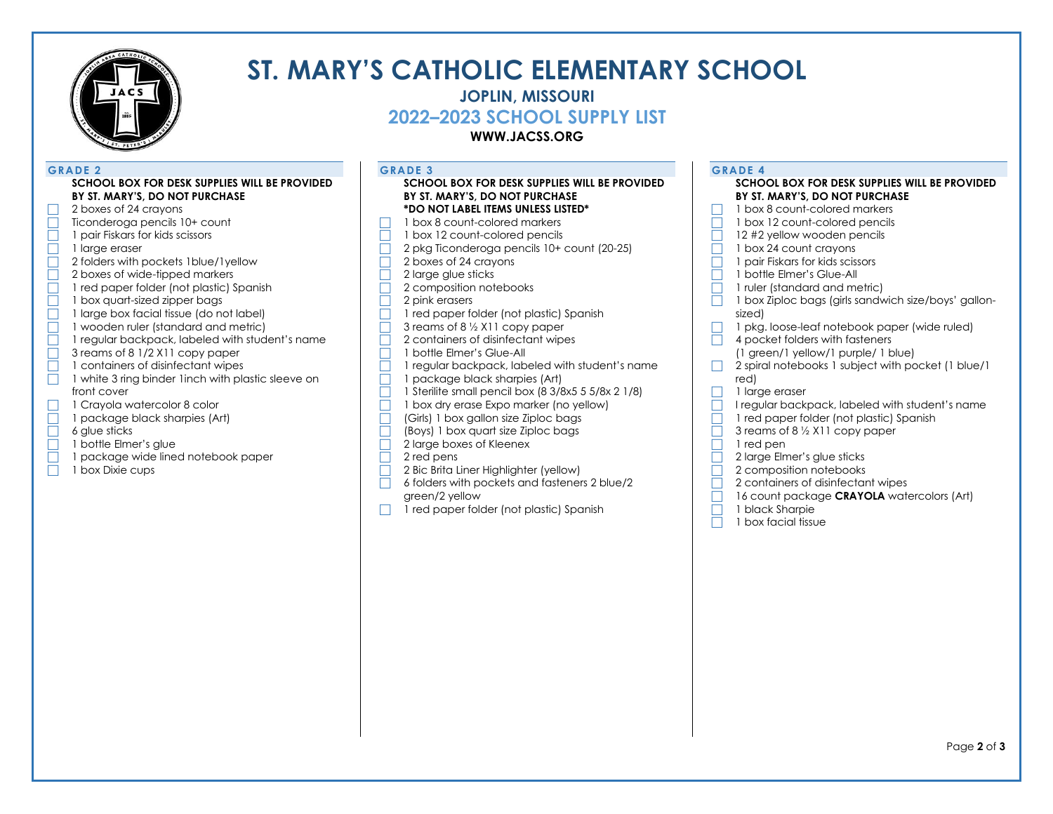

# **ST. MARY'S CATHOLIC ELEMENTARY SCHOOL**

## **JOPLIN, MISSOURI**

**2022–2023 SCHOOL SUPPLY LIST**

**WWW.JACSS.ORG**

### **GRADE 2**

### **SCHOOL BOX FOR DESK SUPPLIES WILL BE PROVIDED BY ST. MARY'S, DO NOT PURCHASE**

- 2 boxes of 24 crayons<br>
Ticonderoga pencils 1 Ticonderoga pencils 10+ count
- $\Box$  1 pair Fiskars for kids scissors
- $\overline{\Box}$  1 large eraser
- □ 2 folders with pockets 1 blue/1 yellow
- $\overline{\Box}$  2 boxes of wide-tipped markers
- $\overline{\Box}$  1 red paper folder (not plastic) Spanish
- 1 box quart-sized zipper bags
- 1 large box facial tissue (do not label)
- 1 wooden ruler (standard and metric)
- 1 regular backpack, labeled with student's name
- $\Box$  3 reams of 8 1/2 X11 copy paper
- $\Box$  1 containers of disinfectant wipes
- $\Box$  1 white 3 ring binder 1 inch with plastic sleeve on front cover
- $\Box$  1 Crayola watercolor 8 color<br> $\Box$  1 package black sharpies (Ar
	- 1 package black sharpies (Art)
- $\Box$  6 glue sticks
- $\Box$  1 bottle Elmer's glue
- $\overline{\Box}$  1 package wide lined notebook paper
- $\Box$  1 box Dixie cups

**GRADE 3**

#### **SCHOOL BOX FOR DESK SUPPLIES WILL BE PROVIDED BY ST. MARY'S, DO NOT PURCHASE \*DO NOT LABEL ITEMS UNLESS LISTED\***

- $\Box$  1 box 8 count-colored markers
- $\Box$  1 box 12 count-colored pencils
- 2 pkg Ticonderoga pencils 10+ count (20-25)
- $\Box$  2 boxes of 24 crayons
- $\Box$  2 large glue sticks
- $\overline{\Box}$  2 composition notebooks
- $\Box$  2 pink erasers
- $\Box$  1 red paper folder (not plastic) Spanish
- $\Box$  3 reams of 8  $\frac{1}{2}$  X11 copy paper
- $\Box$  2 containers of disinfectant wipes
- 1 bottle Elmer's Glue-All
- 1 regular backpack, labeled with student's name<br>
1 package black sharpies (Art)
- 1 package black sharpies (Art)<br>
1 Sterilite small pencil box (8 3/8
- 1 Sterilite small pencil box (8 3/8x5 5 5/8x 2 1/8)
- 1 box dry erase Expo marker (no yellow)<br>
Girls 1 box gallon size Ziploc bags
- (Girls) 1 box gallon size Ziploc bags
- $\Box$  (Boys) 1 box quart size Ziploc bags<br>  $\Box$  2 large boxes of Kleenex
- 2 large boxes of Kleenex<br>2 red pens
- 2 red pens
- **2 Bic Brita Liner Highlighter (yellow)**
- $\Box$  6 folders with pockets and fasteners 2 blue/2 green/2 yellow
- $\Box$  1 red paper folder (not plastic) Spanish

| <b>GRADE 4</b>                                                 |
|----------------------------------------------------------------|
| SCHOOL BOX FOR DESK SUPPLIES WILL BE PROVIDED                  |
| BY ST. MARY'S, DO NOT PURCHASE                                 |
| 1 box 8 count-colored markers                                  |
| 1 box 12 count-colored pencils                                 |
| 12 #2 yellow wooden pencils                                    |
| 1 box 24 count crayons                                         |
| 1 pair Fiskars for kids scissors                               |
| 1 bottle Elmer's Glue-All                                      |
| 1 ruler (standard and metric)                                  |
| 1 box Ziploc bags (girls sandwich size/boys' gallon-<br>sized) |
| 1 pkg. loose-leaf notebook paper (wide ruled)                  |
| 4 pocket folders with fasteners                                |
| (1 green/1 yellow/1 purple/1 blue)                             |
| 2 spiral notebooks 1 subject with pocket (1 blue/1)<br>red)    |
| 1 large eraser                                                 |
| I regular backpack, labeled with student's name                |
| 1 red paper folder (not plastic) Spanish                       |
| 3 reams of 8 1/2 X11 copy paper                                |
| 1 red pen                                                      |
| 2 large Elmer's glue sticks                                    |
| 2 composition notebooks                                        |
| 2 containers of disinfectant wipes                             |
| 16 count package CRAYOLA watercolors (Art)                     |
| 1 black Sharpie                                                |
| 1 box facial tissue                                            |